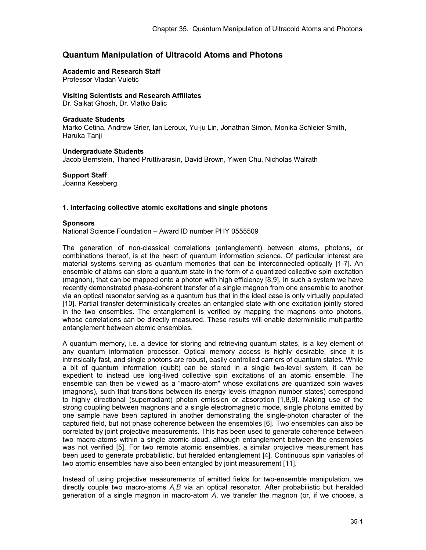# **Quantum Manipulation of Ultracold Atoms and Photons**

#### **Academic and Research Staff**

Professor Vladan Vuletic

### **Visiting Scientists and Research Affiliates**

Dr. Saikat Ghosh, Dr. Vlatko Balic

#### **Graduate Students**

Marko Cetina, Andrew Grier, Ian Leroux, Yu-ju Lin, Jonathan Simon, Monika Schleier-Smith, Haruka Tanji

**Undergraduate Students**  Jacob Bernstein, Thaned Pruttivarasin, David Brown, Yiwen Chu, Nicholas Walrath

**Support Staff**  Joanna Keseberg

#### **1. Interfacing collective atomic excitations and single photons**

#### **Sponsors**

National Science Foundation – Award ID number PHY 0555509

The generation of non-classical correlations (entanglement) between atoms, photons, or combinations thereof, is at the heart of quantum information science. Of particular interest are material systems serving as quantum memories that can be interconnected optically [1-7]. An ensemble of atoms can store a quantum state in the form of a quantized collective spin excitation (magnon), that can be mapped onto a photon with high efficiency [8,9]. In such a system we have recently demonstrated phase-coherent transfer of a single magnon from one ensemble to another via an optical resonator serving as a quantum bus that in the ideal case is only virtually populated [10]. Partial transfer deterministically creates an entangled state with one excitation jointly stored in the two ensembles. The entanglement is verified by mapping the magnons onto photons, whose correlations can be directly measured. These results will enable deterministic multipartite entanglement between atomic ensembles.

A quantum memory, i.e. a device for storing and retrieving quantum states, is a key element of any quantum information processor. Optical memory access is highly desirable, since it is intrinsically fast, and single photons are robust, easily controlled carriers of quantum states. While a bit of quantum information (qubit) can be stored in a single two-level system, it can be expedient to instead use long-lived collective spin excitations of an atomic ensemble. The ensemble can then be viewed as a "macro-atom" whose excitations are quantized spin waves (magnons), such that transitions between its energy levels (magnon number states) correspond to highly directional (superradiant) photon emission or absorption [1,8,9]. Making use of the strong coupling between magnons and a single electromagnetic mode, single photons emitted by one sample have been captured in another demonstrating the single-photon character of the captured field, but not phase coherence between the ensembles [6]. Two ensembles can also be correlated by joint projective measurements. This has been used to generate coherence between two macro-atoms within a single atomic cloud, although entanglement between the ensembles was not verified [5]. For two remote atomic ensembles, a similar projective measurement has been used to generate probabilistic, but heralded entanglement [4]. Continuous spin variables of two atomic ensembles have also been entangled by joint measurement [11].

Instead of using projective measurements of emitted fields for two-ensemble manipulation, we directly couple two macro-atoms *A,B* via an optical resonator. After probabilistic but heralded generation of a single magnon in macro-atom *A*, we transfer the magnon (or, if we choose, a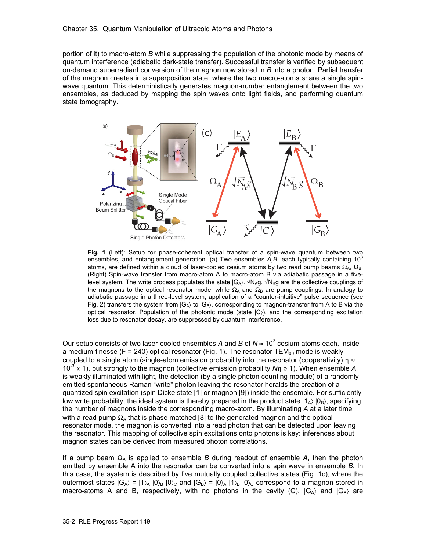portion of it) to macro-atom *B* while suppressing the population of the photonic mode by means of quantum interference (adiabatic dark-state transfer). Successful transfer is verified by subsequent on-demand superradiant conversion of the magnon now stored in *B* into a photon. Partial transfer of the magnon creates in a superposition state, where the two macro-atoms share a single spinwave quantum. This deterministically generates magnon-number entanglement between the two ensembles, as deduced by mapping the spin waves onto light fields, and performing quantum state tomography.



Fig. 1 (Left): Setup for phase-coherent optical transfer of a spin-wave quantum between two ensembles, and entanglement generation. (a) Two ensembles *A,B*, each typically containing 10<sup>3</sup> atoms, are defined within a cloud of laser-cooled cesium atoms by two read pump beams  $Ω<sub>A</sub>, Ω<sub>B</sub>$ . (Right) Spin-wave transfer from macro-atom A to macro-atom B via adiabatic passage in a fivelevel system. The write process populates the state  $|G_A\rangle \cdot \sqrt{N_A}g$ ,  $\sqrt{N_B}g$  are the collective couplings of the magnons to the optical resonator mode, while  $\Omega_A$  and  $\Omega_B$  are pump couplings. In analogy to adiabatic passage in a three-level system, application of a "counter-intuitive" pulse sequence (see Fig. 2) transfers the system from  $|G_A\rangle$  to  $|G_B\rangle$ , corresponding to magnon-transfer from A to B via the optical resonator. Population of the photonic mode (state |C〉), and the corresponding excitation loss due to resonator decay, are suppressed by quantum interference.

Our setup consists of two laser-cooled ensembles A and B of  $N \approx 10^3$  cesium atoms each, inside a medium-finesse (F = 240) optical resonator (Fig. 1). The resonator  $TEM_{00}$  mode is weakly coupled to a single atom (single-atom emission probability into the resonator (cooperativity)  $\eta \approx$ 10-3 « 1), but strongly to the magnon (collective emission probability *N*η » 1). When ensemble *A* is weakly illuminated with light, the detection (by a single photon counting module) of a randomly emitted spontaneous Raman "write" photon leaving the resonator heralds the creation of a quantized spin excitation (spin Dicke state [1] or magnon [9]) inside the ensemble. For sufficiently low write probability, the ideal system is thereby prepared in the product state  $|1_A\rangle |0_B\rangle$ , specifying the number of magnons inside the corresponding macro-atom. By illuminating *A* at a later time with a read pump  $\Omega_A$  that is phase matched [8] to the generated magnon and the opticalresonator mode, the magnon is converted into a read photon that can be detected upon leaving the resonator. This mapping of collective spin excitations onto photons is key: inferences about magnon states can be derived from measured photon correlations.

If a pump beam  $\Omega_B$  is applied to ensemble *B* during readout of ensemble *A*, then the photon emitted by ensemble A into the resonator can be converted into a spin wave in ensemble *B*. In this case, the system is described by five mutually coupled collective states (Fig. 1c), where the outermost states  $|G_A\rangle = |1\rangle_A |0\rangle_B |0\rangle_C$  and  $|G_B\rangle = |0\rangle_A |1\rangle_B |0\rangle_C$  correspond to a magnon stored in macro-atoms A and B, respectively, with no photons in the cavity (C).  $|G_A\rangle$  and  $|G_B\rangle$  are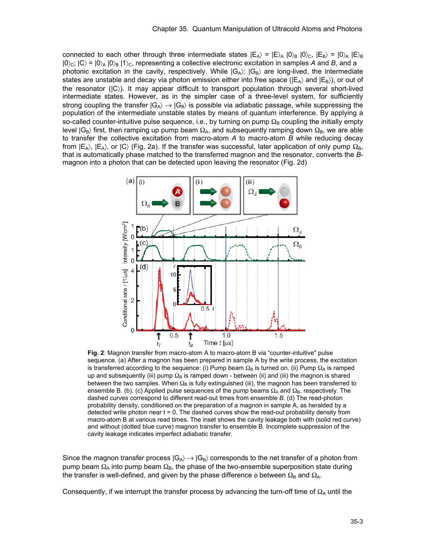connected to each other through three intermediate states  $|E_A\rangle = |E\rangle_A |0\rangle_B |0\rangle_C$ ,  $|E_B\rangle = |0\rangle_A |E\rangle_B$  $|0\rangle_c$ ;  $|C\rangle = |0\rangle_A |0\rangle_B |1\rangle_c$ , representing a collective electronic excitation in samples *A* and *B*, and a photonic excitation in the cavity, respectively. While  $|G_A\rangle$ ;  $|G_B\rangle$  are long-lived, the intermediate states are unstable and decay via photon emission either into free space ( $|E_A\rangle$  and  $|E_B\rangle$ ), or out of the resonator (|C〉). It may appear difficult to transport population through several short-lived intermediate states. However, as in the simpler case of a three-level system, for sufficiently strong coupling the transfer  $|G_A\rangle \rightarrow |G_B\rangle$  is possible via adiabatic passage, while suppressing the population of the intermediate unstable states by means of quantum interference. By applying a so-called counter-intuitive pulse sequence, i.e., by turning on pump  $\Omega_{\rm B}$  coupling the initially empty level  $|G_B\rangle$  first, then ramping up pump beam  $\Omega_A$ , and subsequently ramping down  $\Omega_B$ , we are able to transfer the collective excitation from macro-atom *A* to macro-atom *B* while reducing decay from  $|E_A\rangle$ ,  $|E_A\rangle$ , or  $|C\rangle$  (Fig. 2a). If the transfer was successful, later application of only pump  $\Omega_B$ , that is automatically phase matched to the transferred magnon and the resonator, converts the *B*magnon into a photon that can be detected upon leaving the resonator (Fig. 2d)



**Fig. 2**: Magnon transfer from macro-atom A to macro-atom B via "counter-intuitive" pulse sequence. (a) After a magnon has been prepared in sample A by the write process, the excitation is transferred according to the sequence: (i) Pump beam  $\Omega_B$  is turned on. (ii) Pump  $\Omega_A$  is ramped up and subsequently (iii) pump  $\Omega_B$  is ramped down - between (ii) and (iii) the magnon is shared between the two samples. When  $\Omega_B$  is fully extinguished (iii), the magnon has been transferred to ensemble B. (b), (c) Applied pulse sequences of the pump beams  $\Omega_A$  and  $\Omega_B$ , respectively. The dashed curves correspond to different read-out times from ensemble *B*. (d) The read-photon probability density, conditioned on the preparation of a magnon in sample A, as heralded by a detected write photon near  $t = 0$ . The dashed curves show the read-out probability density from macro-atom B at various read times. The inset shows the cavity leakage both with (solid red curve) and without (dotted blue curve) magnon transfer to ensemble B. Incomplete suppression of the cavity leakage indicates imperfect adiabatic transfer.

Since the magnon transfer process  $|G_A\rangle \rightarrow |G_B\rangle$  corresponds to the net transfer of a photon from pump beam  $\Omega_A$  into pump beam  $\Omega_B$ , the phase of the two-ensemble superposition state during the transfer is well-defined, and given by the phase difference  $\phi$  between  $\Omega_B$  and  $\Omega_A$ .

Consequently, if we interrupt the transfer process by advancing the turn-off time of  $\Omega_{\rm A}$  until the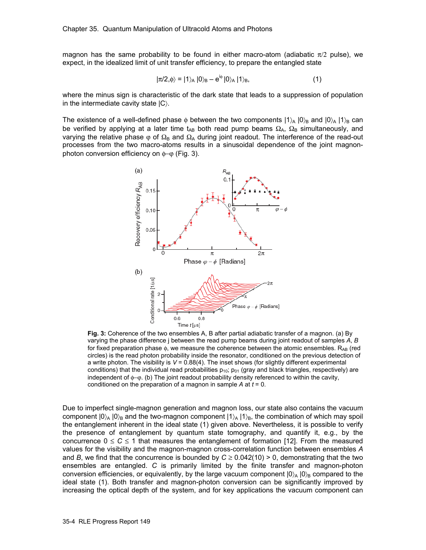magnon has the same probability to be found in either macro-atom (adiabatic  $\pi/2$  pulse), we expect, in the idealized limit of unit transfer efficiency, to prepare the entangled state

$$
|\pi/2,\phi\rangle = |1\rangle_A |0\rangle_B - e^{i\phi} |0\rangle_A |1\rangle_B, \tag{1}
$$

where the minus sign is characteristic of the dark state that leads to a suppression of population in the intermediate cavity state  $|C\rangle$ .

The existence of a well-defined phase  $\phi$  between the two components  $|1\rangle_A |0\rangle_B$  and  $|0\rangle_A |1\rangle_B$  can be verified by applying at a later time t<sub>AB</sub> both read pump beams  $\Omega_A$ ,  $\Omega_B$  simultaneously, and varying the relative phase  $\varphi$  of  $\Omega_B$  and  $\Omega_A$  during joint readout. The interference of the read-out processes from the two macro-atoms results in a sinusoidal dependence of the joint magnonphoton conversion efficiency on φ−ϕ (Fig. 3).



**Fig. 3:** Coherence of the two ensembles A, B after partial adiabatic transfer of a magnon. (a) By varying the phase difference j between the read pump beams during joint readout of samples *A*, *B* for fixed preparation phase  $\phi$ , we measure the coherence between the atomic ensembles.  $R_{AB}$  (red circles) is the read photon probability inside the resonator, conditioned on the previous detection of a write photon. The visibility is *V* = 0.88(4). The inset shows (for slightly different experimental conditions) that the individual read probabilities  $p_{10}$ ;  $p_{01}$  (gray and black triangles, respectively) are independent of φ−ϕ. (b) The joint readout probability density referenced to within the cavity, conditioned on the preparation of a magnon in sample *A* at *t* = 0.

Due to imperfect single-magnon generation and magnon loss, our state also contains the vacuum component  $|0\rangle_A |0\rangle_B$  and the two-magnon component  $|1\rangle_A |1\rangle_B$ , the combination of which may spoil the entanglement inherent in the ideal state (1) given above. Nevertheless, it is possible to verify the presence of entanglement by quantum state tomography, and quantify it, e.g., by the concurrence  $0 \le C \le 1$  that measures the entanglement of formation [12]. From the measured values for the visibility and the magnon-magnon cross-correlation function between ensembles *A* and *B*, we find that the concurrence is bounded by  $C \ge 0.042(10) > 0$ , demonstrating that the two ensembles are entangled. *C* is primarily limited by the finite transfer and magnon-photon conversion efficiencies, or equivalently, by the large vacuum component  $|0\rangle_A |0\rangle_B$  compared to the ideal state (1). Both transfer and magnon-photon conversion can be significantly improved by increasing the optical depth of the system, and for key applications the vacuum component can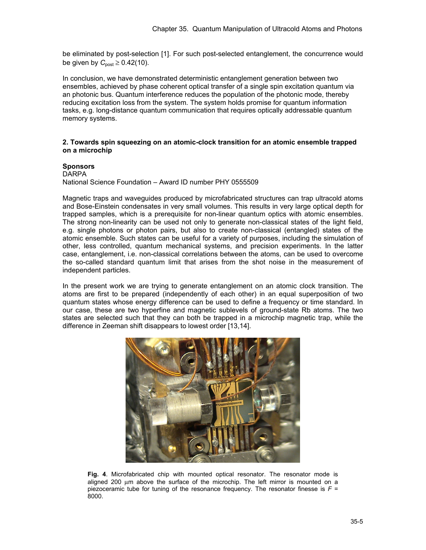be eliminated by post-selection [1]. For such post-selected entanglement, the concurrence would be given by  $C_{\text{post}} \geq 0.42(10)$ .

In conclusion, we have demonstrated deterministic entanglement generation between two ensembles, achieved by phase coherent optical transfer of a single spin excitation quantum via an photonic bus. Quantum interference reduces the population of the photonic mode, thereby reducing excitation loss from the system. The system holds promise for quantum information tasks, e.g. long-distance quantum communication that requires optically addressable quantum memory systems.

## **2. Towards spin squeezing on an atomic-clock transition for an atomic ensemble trapped on a microchip**

## **Sponsors**

**DARPA** National Science Foundation – Award ID number PHY 0555509

Magnetic traps and waveguides produced by microfabricated structures can trap ultracold atoms and Bose-Einstein condensates in very small volumes. This results in very large optical depth for trapped samples, which is a prerequisite for non-linear quantum optics with atomic ensembles. The strong non-linearity can be used not only to generate non-classical states of the light field, e.g. single photons or photon pairs, but also to create non-classical (entangled) states of the atomic ensemble. Such states can be useful for a variety of purposes, including the simulation of other, less controlled, quantum mechanical systems, and precision experiments. In the latter case, entanglement, i.e. non-classical correlations between the atoms, can be used to overcome the so-called standard quantum limit that arises from the shot noise in the measurement of independent particles.

In the present work we are trying to generate entanglement on an atomic clock transition. The atoms are first to be prepared (independently of each other) in an equal superposition of two quantum states whose energy difference can be used to define a frequency or time standard. In our case, these are two hyperfine and magnetic sublevels of ground-state Rb atoms. The two states are selected such that they can both be trapped in a microchip magnetic trap, while the difference in Zeeman shift disappears to lowest order [13,14].



**Fig. 4**. Microfabricated chip with mounted optical resonator. The resonator mode is aligned 200 μm above the surface of the microchip. The left mirror is mounted on a piezoceramic tube for tuning of the resonance frequency. The resonator finesse is  $F =$ 8000.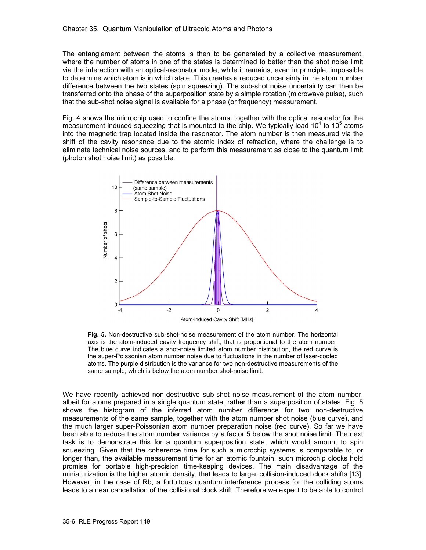The entanglement between the atoms is then to be generated by a collective measurement, where the number of atoms in one of the states is determined to better than the shot noise limit via the interaction with an optical-resonator mode, while it remains, even in principle, impossible to determine which atom is in which state. This creates a reduced uncertainty in the atom number difference between the two states (spin squeezing). The sub-shot noise uncertainty can then be transferred onto the phase of the superposition state by a simple rotation (microwave pulse), such that the sub-shot noise signal is available for a phase (or frequency) measurement.

Fig. 4 shows the microchip used to confine the atoms, together with the optical resonator for the measurement-induced squeezing that is mounted to the chip. We typically load 10 $4$  to 10 $5$  atoms into the magnetic trap located inside the resonator. The atom number is then measured via the shift of the cavity resonance due to the atomic index of refraction, where the challenge is to eliminate technical noise sources, and to perform this measurement as close to the quantum limit (photon shot noise limit) as possible.



**Fig. 5.** Non-destructive sub-shot-noise measurement of the atom number. The horizontal axis is the atom-induced cavity frequency shift, that is proportional to the atom number. The blue curve indicates a shot-noise limited atom number distribution, the red curve is the super-Poissonian atom number noise due to fluctuations in the number of laser-cooled atoms. The purple distribution is the variance for two non-destructive measurements of the same sample, which is below the atom number shot-noise limit.

We have recently achieved non-destructive sub-shot noise measurement of the atom number, albeit for atoms prepared in a single quantum state, rather than a superposition of states. Fig. 5 shows the histogram of the inferred atom number difference for two non-destructive measurements of the same sample, together with the atom number shot noise (blue curve), and the much larger super-Poissonian atom number preparation noise (red curve). So far we have been able to reduce the atom number variance by a factor 5 below the shot noise limit. The next task is to demonstrate this for a quantum superposition state, which would amount to spin squeezing. Given that the coherence time for such a microchip systems is comparable to, or longer than, the available measurement time for an atomic fountain, such microchip clocks hold promise for portable high-precision time-keeping devices. The main disadvantage of the miniaturization is the higher atomic density, that leads to larger collision-induced clock shifts [13]. However, in the case of Rb, a fortuitous quantum interference process for the colliding atoms leads to a near cancellation of the collisional clock shift. Therefore we expect to be able to control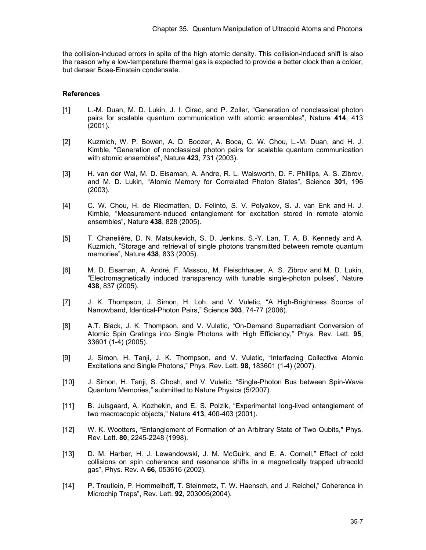the collision-induced errors in spite of the high atomic density. This collision-induced shift is also the reason why a low-temperature thermal gas is expected to provide a better clock than a colder, but denser Bose-Einstein condensate.

#### **References**

- [1] L.-M. Duan, M. D. Lukin, J. I. Cirac, and P. Zoller, "Generation of nonclassical photon pairs for scalable quantum communication with atomic ensembles", Nature **414**, 413 (2001).
- [2] Kuzmich, W. P. Bowen, A. D. Boozer, A. Boca, C. W. Chou, L.-M. Duan, and H. J. Kimble, "Generation of nonclassical photon pairs for scalable quantum communication with atomic ensembles", Nature **423**, 731 (2003).
- [3] H. van der Wal, M. D. Eisaman, A. Andre, R. L. Walsworth, D. F. Phillips, A. S. Zibrov, and M. D. Lukin, "Atomic Memory for Correlated Photon States", Science **301**, 196 (2003).
- [4] C. W. Chou, H. de Riedmatten, D. Felinto, S. V. Polyakov, S. J. van Enk and H. J. Kimble, "Measurement-induced entanglement for excitation stored in remote atomic ensembles", Nature **438**, 828 (2005).
- [5] T. Chanelière, D. N. Matsukevich, S. D. Jenkins, S.-Y. Lan, T. A. B. Kennedy and A. Kuzmich, "Storage and retrieval of single photons transmitted between remote quantum memories", Nature **438**, 833 (2005).
- [6] M. D. Eisaman, A. André, F. Massou, M. Fleischhauer, A. S. Zibrov and M. D. Lukin, "Electromagnetically induced transparency with tunable single-photon pulses", Nature **438**, 837 (2005).
- [7] J. K. Thompson, J. Simon, H. Loh, and V. Vuletic, "A High-Brightness Source of Narrowband, Identical-Photon Pairs," Science **303**, 74-77 (2006).
- [8] A.T. Black, J. K. Thompson, and V. Vuletic, "On-Demand Superradiant Conversion of Atomic Spin Gratings into Single Photons with High Efficiency," Phys. Rev. Lett. **95**, 33601 (1-4) (2005).
- [9] J. Simon, H. Tanji, J. K. Thompson, and V. Vuletic, "Interfacing Collective Atomic Excitations and Single Photons," Phys. Rev. Lett. **98**, 183601 (1-4) (2007).
- [10] J. Simon, H. Tanji, S. Ghosh, and V. Vuletic, "Single-Photon Bus between Spin-Wave Quantum Memories," submitted to Nature Physics (5/2007).
- [11] B. Julsgaard, A. Kozhekin, and E. S. Polzik, "Experimental long-lived entanglement of two macroscopic objects," Nature **413**, 400-403 (2001).
- [12] W. K. Wootters, "Entanglement of Formation of an Arbitrary State of Two Qubits," Phys. Rev. Lett. **80**, 2245-2248 (1998).
- [13] D. M. Harber, H. J. Lewandowski, J. M. McGuirk, and E. A. Cornell," Effect of cold collisions on spin coherence and resonance shifts in a magnetically trapped ultracold gas", Phys. Rev. A **66**, 053616 (2002).
- [14] P. Treutlein, P. Hommelhoff, T. Steinmetz, T. W. Haensch, and J. Reichel," Coherence in Microchip Traps", Rev. Lett. **92**, 203005(2004).